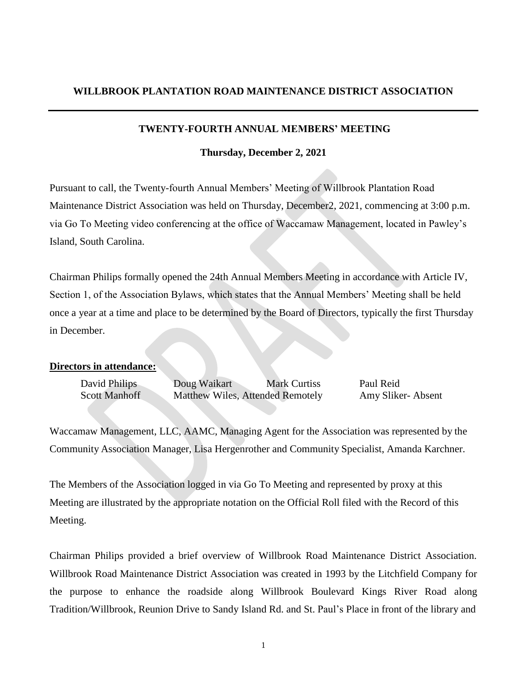#### **TWENTY-FOURTH ANNUAL MEMBERS' MEETING**

**Thursday, December 2, 2021**

Pursuant to call, the Twenty-fourth Annual Members' Meeting of Willbrook Plantation Road Maintenance District Association was held on Thursday, December2, 2021, commencing at 3:00 p.m. via Go To Meeting video conferencing at the office of Waccamaw Management, located in Pawley's Island, South Carolina.

Chairman Philips formally opened the 24th Annual Members Meeting in accordance with Article IV, Section 1, of the Association Bylaws, which states that the Annual Members' Meeting shall be held once a year at a time and place to be determined by the Board of Directors, typically the first Thursday in December.

### **Directors in attendance:**

| David Philips | Doug Waikart                     | <b>Mark Curtiss</b> | Paul Reid         |
|---------------|----------------------------------|---------------------|-------------------|
| Scott Manhoff | Matthew Wiles, Attended Remotely |                     | Amy Sliker-Absent |

Waccamaw Management, LLC, AAMC, Managing Agent for the Association was represented by the Community Association Manager, Lisa Hergenrother and Community Specialist, Amanda Karchner.

The Members of the Association logged in via Go To Meeting and represented by proxy at this Meeting are illustrated by the appropriate notation on the Official Roll filed with the Record of this Meeting.

Chairman Philips provided a brief overview of Willbrook Road Maintenance District Association. Willbrook Road Maintenance District Association was created in 1993 by the Litchfield Company for the purpose to enhance the roadside along Willbrook Boulevard Kings River Road along Tradition/Willbrook, Reunion Drive to Sandy Island Rd. and St. Paul's Place in front of the library and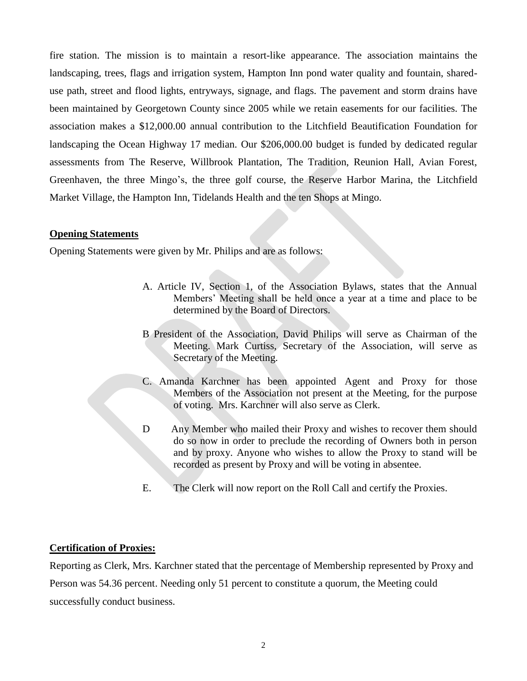fire station. The mission is to maintain a resort-like appearance. The association maintains the landscaping, trees, flags and irrigation system, Hampton Inn pond water quality and fountain, shareduse path, street and flood lights, entryways, signage, and flags. The pavement and storm drains have been maintained by Georgetown County since 2005 while we retain easements for our facilities. The association makes a \$12,000.00 annual contribution to the Litchfield Beautification Foundation for landscaping the Ocean Highway 17 median. Our \$206,000.00 budget is funded by dedicated regular assessments from The Reserve, Willbrook Plantation, The Tradition, Reunion Hall, Avian Forest, Greenhaven, the three Mingo's, the three golf course, the Reserve Harbor Marina, the Litchfield Market Village, the Hampton Inn, Tidelands Health and the ten Shops at Mingo.

## **Opening Statements**

Opening Statements were given by Mr. Philips and are as follows:

- A. Article IV, Section 1, of the Association Bylaws, states that the Annual Members' Meeting shall be held once a year at a time and place to be determined by the Board of Directors.
- B President of the Association, David Philips will serve as Chairman of the Meeting. Mark Curtiss, Secretary of the Association, will serve as Secretary of the Meeting.
- C. Amanda Karchner has been appointed Agent and Proxy for those Members of the Association not present at the Meeting, for the purpose of voting. Mrs. Karchner will also serve as Clerk.
- D Any Member who mailed their Proxy and wishes to recover them should do so now in order to preclude the recording of Owners both in person and by proxy. Anyone who wishes to allow the Proxy to stand will be recorded as present by Proxy and will be voting in absentee.
- E. The Clerk will now report on the Roll Call and certify the Proxies.

## **Certification of Proxies:**

Reporting as Clerk, Mrs. Karchner stated that the percentage of Membership represented by Proxy and Person was 54.36 percent. Needing only 51 percent to constitute a quorum, the Meeting could successfully conduct business.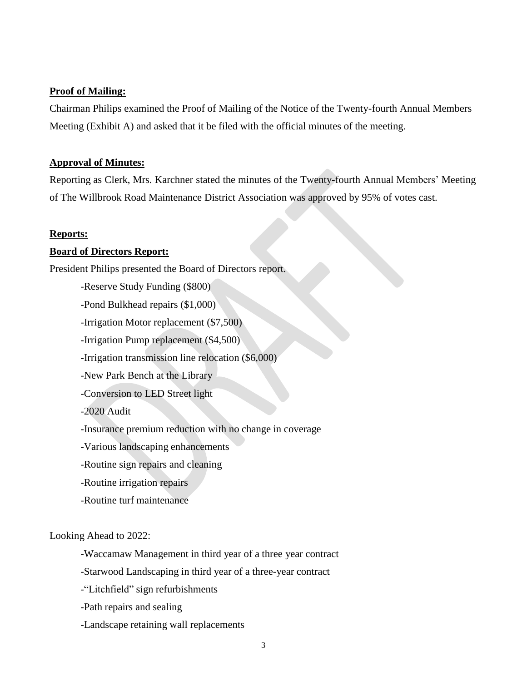#### **Proof of Mailing:**

Chairman Philips examined the Proof of Mailing of the Notice of the Twenty-fourth Annual Members Meeting (Exhibit A) and asked that it be filed with the official minutes of the meeting.

#### **Approval of Minutes:**

Reporting as Clerk, Mrs. Karchner stated the minutes of the Twenty-fourth Annual Members' Meeting of The Willbrook Road Maintenance District Association was approved by 95% of votes cast.

#### **Reports:**

#### **Board of Directors Report:**

President Philips presented the Board of Directors report.

-Reserve Study Funding (\$800)

-Pond Bulkhead repairs (\$1,000)

-Irrigation Motor replacement (\$7,500)

-Irrigation Pump replacement (\$4,500)

-Irrigation transmission line relocation (\$6,000)

-New Park Bench at the Library

-Conversion to LED Street light

-2020 Audit

-Insurance premium reduction with no change in coverage

-Various landscaping enhancements

- -Routine sign repairs and cleaning
- -Routine irrigation repairs
- -Routine turf maintenance

Looking Ahead to 2022:

-Waccamaw Management in third year of a three year contract

-Starwood Landscaping in third year of a three-year contract

-"Litchfield" sign refurbishments

-Path repairs and sealing

-Landscape retaining wall replacements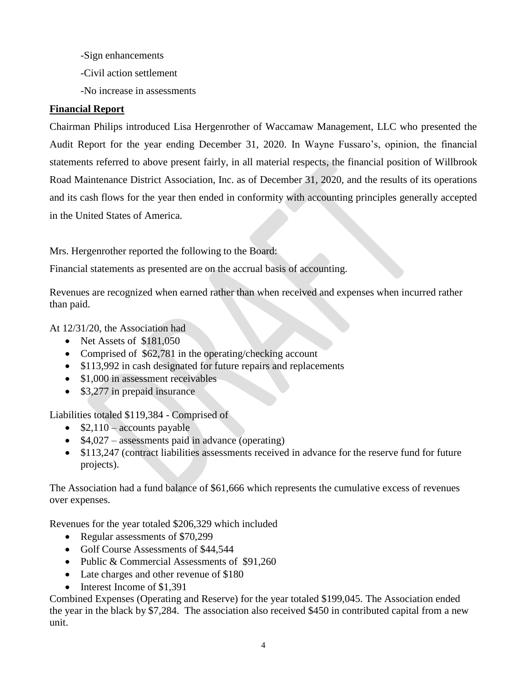-Sign enhancements

-Civil action settlement

-No increase in assessments

# **Financial Report**

Chairman Philips introduced Lisa Hergenrother of Waccamaw Management, LLC who presented the Audit Report for the year ending December 31, 2020. In Wayne Fussaro's, opinion, the financial statements referred to above present fairly, in all material respects, the financial position of Willbrook Road Maintenance District Association, Inc. as of December 31, 2020, and the results of its operations and its cash flows for the year then ended in conformity with accounting principles generally accepted in the United States of America.

Mrs. Hergenrother reported the following to the Board:

Financial statements as presented are on the accrual basis of accounting.

Revenues are recognized when earned rather than when received and expenses when incurred rather than paid.

At 12/31/20, the Association had

- Net Assets of \$181,050
- Comprised of \$62,781 in the operating/checking account
- \$113,992 in cash designated for future repairs and replacements
- \$1,000 in assessment receivables
- \$3,277 in prepaid insurance

Liabilities totaled \$119,384 - Comprised of

- $\bullet$  \$2,110 accounts payable
- $\bullet$  \$4,027 assessments paid in advance (operating)
- \$113,247 (contract liabilities assessments received in advance for the reserve fund for future projects).

The Association had a fund balance of \$61,666 which represents the cumulative excess of revenues over expenses.

Revenues for the year totaled \$206,329 which included

- Regular assessments of \$70,299
- Golf Course Assessments of \$44,544
- Public & Commercial Assessments of \$91,260
- Late charges and other revenue of \$180
- Interest Income of \$1,391

Combined Expenses (Operating and Reserve) for the year totaled \$199,045. The Association ended the year in the black by \$7,284. The association also received \$450 in contributed capital from a new unit.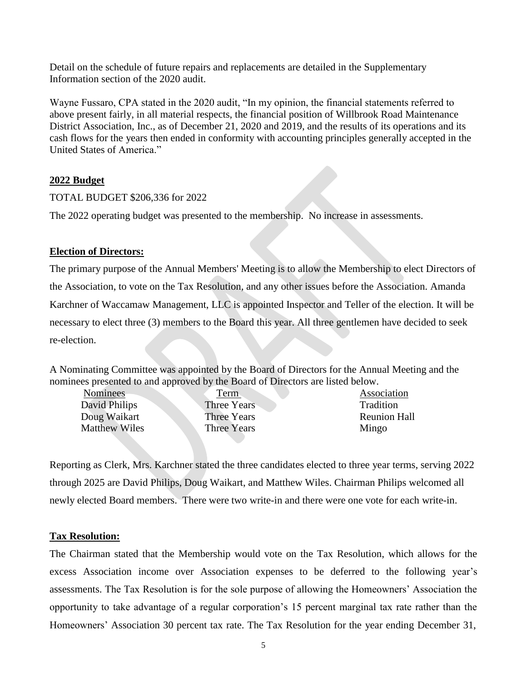Detail on the schedule of future repairs and replacements are detailed in the Supplementary Information section of the 2020 audit.

Wayne Fussaro, CPA stated in the 2020 audit, "In my opinion, the financial statements referred to above present fairly, in all material respects, the financial position of Willbrook Road Maintenance District Association, Inc., as of December 21, 2020 and 2019, and the results of its operations and its cash flows for the years then ended in conformity with accounting principles generally accepted in the United States of America."

## **2022 Budget**

## TOTAL BUDGET \$206,336 for 2022

The 2022 operating budget was presented to the membership. No increase in assessments.

## **Election of Directors:**

The primary purpose of the Annual Members' Meeting is to allow the Membership to elect Directors of the Association, to vote on the Tax Resolution, and any other issues before the Association. Amanda Karchner of Waccamaw Management, LLC is appointed Inspector and Teller of the election. It will be necessary to elect three (3) members to the Board this year. All three gentlemen have decided to seek re-election.

A Nominating Committee was appointed by the Board of Directors for the Annual Meeting and the nominees presented to and approved by the Board of Directors are listed below.

| <b>Nominees</b>      |  |
|----------------------|--|
| David Philips        |  |
| Doug Waikart         |  |
| <b>Matthew Wiles</b> |  |
|                      |  |

Three Years Tradition Three Years Mingo

Term Association Three Years **Reunion Hall** 

Reporting as Clerk, Mrs. Karchner stated the three candidates elected to three year terms, serving 2022 through 2025 are David Philips, Doug Waikart, and Matthew Wiles. Chairman Philips welcomed all newly elected Board members. There were two write-in and there were one vote for each write-in.

## **Tax Resolution:**

The Chairman stated that the Membership would vote on the Tax Resolution, which allows for the excess Association income over Association expenses to be deferred to the following year's assessments. The Tax Resolution is for the sole purpose of allowing the Homeowners' Association the opportunity to take advantage of a regular corporation's 15 percent marginal tax rate rather than the Homeowners' Association 30 percent tax rate. The Tax Resolution for the year ending December 31,